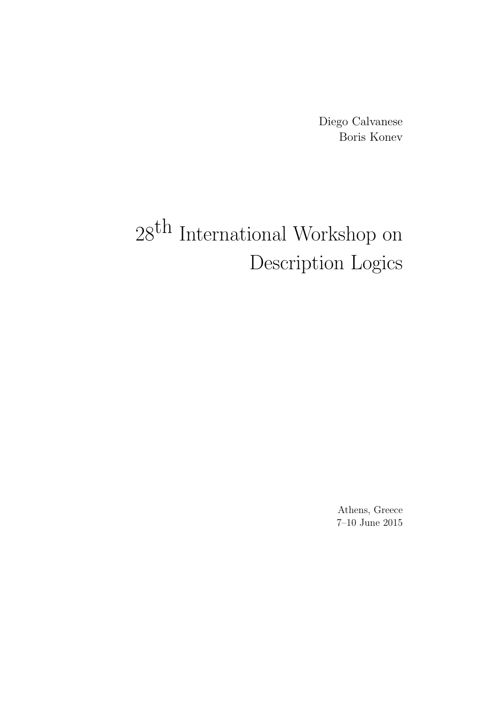Diego Calvanese Boris Konev

# $28^{\mbox{th}}$  International Workshop on Description Logics

Athens, Greece 7–10 June 2015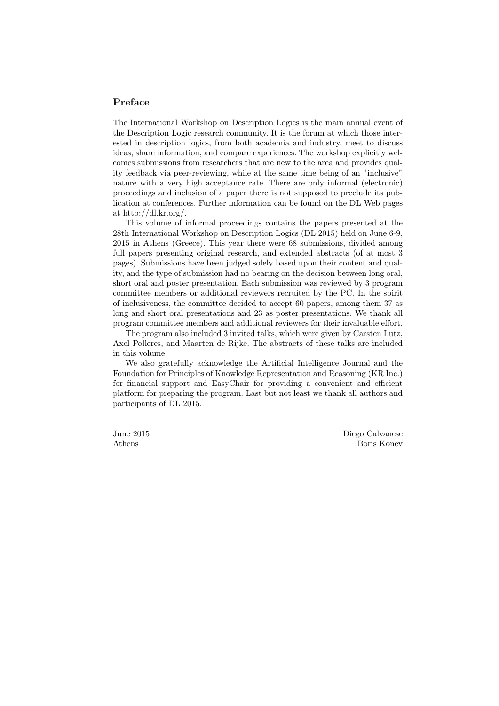#### Preface

The International Workshop on Description Logics is the main annual event of the Description Logic research community. It is the forum at which those interested in description logics, from both academia and industry, meet to discuss ideas, share information, and compare experiences. The workshop explicitly welcomes submissions from researchers that are new to the area and provides quality feedback via peer-reviewing, while at the same time being of an "inclusive" nature with a very high acceptance rate. There are only informal (electronic) proceedings and inclusion of a paper there is not supposed to preclude its publication at conferences. Further information can be found on the DL Web pages at http://dl.kr.org/.

This volume of informal proceedings contains the papers presented at the 28th International Workshop on Description Logics (DL 2015) held on June 6-9, 2015 in Athens (Greece). This year there were 68 submissions, divided among full papers presenting original research, and extended abstracts (of at most 3 pages). Submissions have been judged solely based upon their content and quality, and the type of submission had no bearing on the decision between long oral, short oral and poster presentation. Each submission was reviewed by 3 program committee members or additional reviewers recruited by the PC. In the spirit of inclusiveness, the committee decided to accept 60 papers, among them 37 as long and short oral presentations and 23 as poster presentations. We thank all program committee members and additional reviewers for their invaluable effort.

The program also included 3 invited talks, which were given by Carsten Lutz, Axel Polleres, and Maarten de Rijke. The abstracts of these talks are included in this volume.

We also gratefully acknowledge the Artificial Intelligence Journal and the Foundation for Principles of Knowledge Representation and Reasoning (KR Inc.) for financial support and EasyChair for providing a convenient and efficient platform for preparing the program. Last but not least we thank all authors and participants of DL 2015.

June 2015 Athens

Diego Calvanese Boris Konev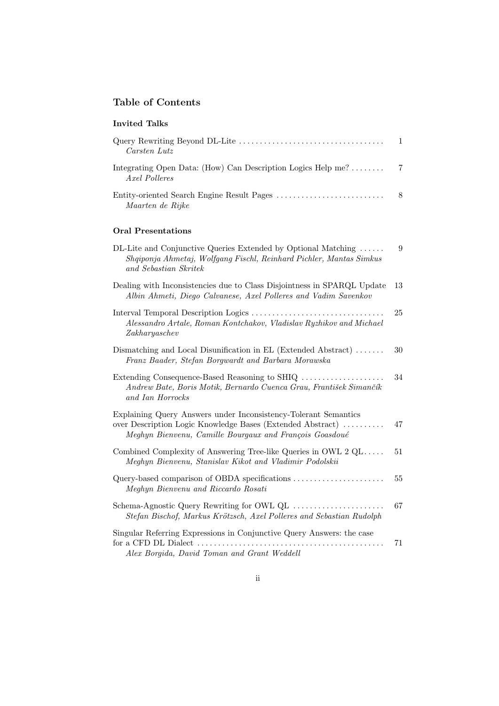# Table of Contents

| <b>Invited Talks</b>                                                                                                                                                                     |              |
|------------------------------------------------------------------------------------------------------------------------------------------------------------------------------------------|--------------|
| Carsten Lutz                                                                                                                                                                             | $\mathbf{1}$ |
| Integrating Open Data: (How) Can Description Logics Help me?<br>Axel Polleres                                                                                                            | 7            |
| Maarten de Rijke                                                                                                                                                                         | 8            |
| <b>Oral Presentations</b>                                                                                                                                                                |              |
| DL-Lite and Conjunctive Queries Extended by Optional Matching<br>Shqiponja Ahmetaj, Wolfgang Fischl, Reinhard Pichler, Mantas Simkus<br>and Sebastian Skritek                            | 9            |
| Dealing with Inconsistencies due to Class Disjointness in SPARQL Update<br>Albin Ahmeti, Diego Calvanese, Axel Polleres and Vadim Savenkov                                               | 13           |
| Alessandro Artale, Roman Kontchakov, Vladislav Ryzhikov and Michael<br>Zakharyaschev                                                                                                     | 25           |
| Dismatching and Local Disunification in EL (Extended Abstract)<br>Franz Baader, Stefan Borgwardt and Barbara Morawska                                                                    | 30           |
| Extending Consequence-Based Reasoning to SHIQ<br>Andrew Bate, Boris Motik, Bernardo Cuenca Grau, František Simančík<br>and Ian Horrocks                                                  | 34           |
| Explaining Query Answers under Inconsistency-Tolerant Semantics<br>over Description Logic Knowledge Bases (Extended Abstract)<br>Meghyn Bienvenu, Camille Bourgaux and François Goasdoué | 47           |
| Combined Complexity of Answering Tree-like Queries in OWL $2 \text{ QL}$<br>Meghyn Bienvenu, Stanislav Kikot and Vladimir Podolskii                                                      | 51           |
| Query-based comparison of OBDA specifications<br>Meghyn Bienvenu and Riccardo Rosati                                                                                                     | 55           |
| Stefan Bischof, Markus Krötzsch, Axel Polleres and Sebastian Rudolph                                                                                                                     | 67           |
| Singular Referring Expressions in Conjunctive Query Answers: the case<br>Alex Borgida, David Toman and Grant Weddell                                                                     | 71           |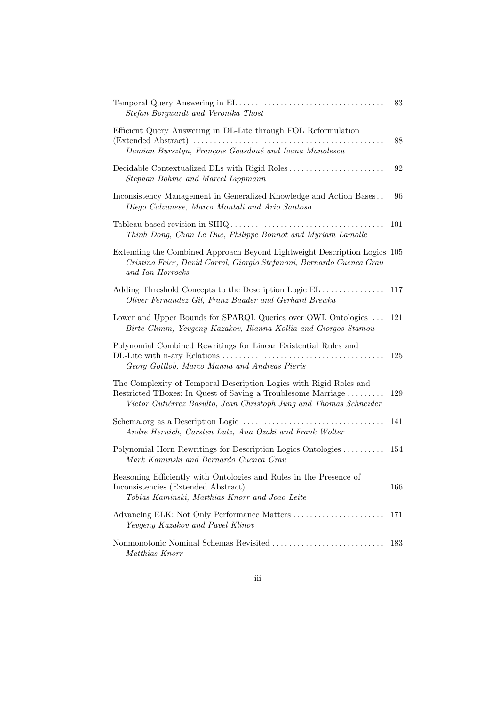| Stefan Borgwardt and Veronika Thost                                                                                                                                                                      | 83  |
|----------------------------------------------------------------------------------------------------------------------------------------------------------------------------------------------------------|-----|
| Efficient Query Answering in DL-Lite through FOL Reformulation<br>Damian Bursztyn, François Goasdoué and Ioana Manolescu                                                                                 | 88  |
| Decidable Contextualized DLs with Rigid Roles<br>Stephan Böhme and Marcel Lippmann                                                                                                                       | 92  |
| Inconsistency Management in Generalized Knowledge and Action Bases<br>Diego Calvanese, Marco Montali and Ario Santoso                                                                                    | 96  |
| Thinh Dong, Chan Le Duc, Philippe Bonnot and Myriam Lamolle                                                                                                                                              | 101 |
| Extending the Combined Approach Beyond Lightweight Description Logics 105<br>Cristina Feier, David Carral, Giorgio Stefanoni, Bernardo Cuenca Grau<br>and Ian Horrocks                                   |     |
| Adding Threshold Concepts to the Description Logic EL<br>Oliver Fernandez Gil, Franz Baader and Gerhard Brewka                                                                                           | 117 |
| Lower and Upper Bounds for SPARQL Queries over OWL Ontologies<br>Birte Glimm, Yevgeny Kazakov, Ilianna Kollia and Giorgos Stamou                                                                         | 121 |
| Polynomial Combined Rewritings for Linear Existential Rules and<br>Georg Gottlob, Marco Manna and Andreas Pieris                                                                                         | 125 |
| The Complexity of Temporal Description Logics with Rigid Roles and<br>Restricted TBoxes: In Quest of Saving a Troublesome Marriage<br>Víctor Gutiérrez Basulto, Jean Christoph Jung and Thomas Schneider | 129 |
| Andre Hernich, Carsten Lutz, Ana Ozaki and Frank Wolter                                                                                                                                                  | 141 |
| Polynomial Horn Rewritings for Description Logics Ontologies<br>Mark Kaminski and Bernardo Cuenca Grau                                                                                                   | 154 |
| Reasoning Efficiently with Ontologies and Rules in the Presence of<br>Tobias Kaminski, Matthias Knorr and Joao Leite                                                                                     | 166 |
| Advancing ELK: Not Only Performance Matters<br>Yevgeny Kazakov and Pavel Klinov                                                                                                                          | 171 |
| Matthias Knorr                                                                                                                                                                                           | 183 |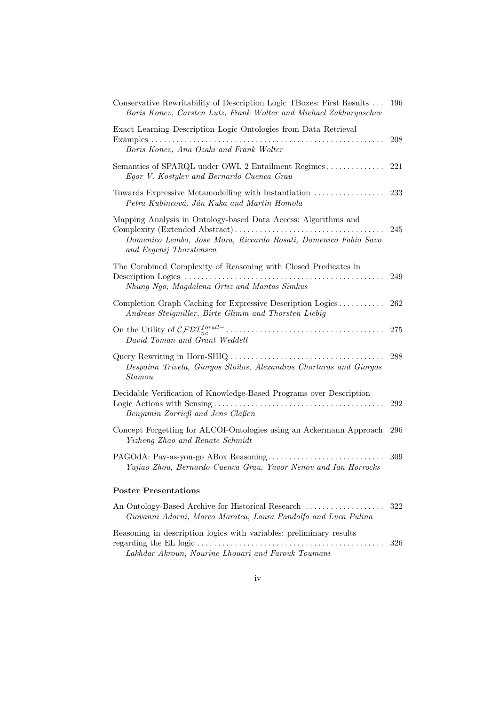| Conservative Rewritability of Description Logic TBoxes: First Results<br>Boris Konev, Carsten Lutz, Frank Wolter and Michael Zakharyaschev                   | 196 |
|--------------------------------------------------------------------------------------------------------------------------------------------------------------|-----|
| Exact Learning Description Logic Ontologies from Data Retrieval<br>Boris Konev, Ana Ozaki and Frank Wolter                                                   | 208 |
| Semantics of SPARQL under OWL 2 Entailment Regimes<br>Egor V. Kostylev and Bernardo Cuenca Grau                                                              | 221 |
| Towards Expressive Metamodelling with Instantiation<br>Petra Kubincová, Ján Kuka and Martin Homola                                                           | 233 |
| Mapping Analysis in Ontology-based Data Access: Algorithms and<br>Domenico Lembo, Jose Mora, Riccardo Rosati, Domenico Fabio Savo<br>and Evgenij Thorstensen | 245 |
| The Combined Complexity of Reasoning with Closed Predicates in<br>Nhung Ngo, Magdalena Ortiz and Mantas Simkus                                               | 249 |
| Completion Graph Caching for Expressive Description Logics<br>Andreas Steigmiller, Birte Glimm and Thorsten Liebig                                           | 262 |
| David Toman and Grant Weddell                                                                                                                                | 275 |
| Despoina Trivela, Giorgos Stoilos, Alexandros Chortaras and Giorgos<br>Stamou                                                                                | 288 |
| Decidable Verification of Knowledge-Based Programs over Description<br>Benjamin Zarrieß and Jens Claßen                                                      | 292 |
| Concept Forgetting for ALCOI-Ontologies using an Ackermann Approach<br>Yizheng Zhao and Renate Schmidt                                                       | 296 |
| Yujiao Zhou, Bernardo Cuenca Grau, Yavor Nenov and Ian Horrocks                                                                                              | 309 |
| <b>Poster Presentations</b>                                                                                                                                  |     |
| An Ontology-Based Archive for Historical Research<br>Giovanni Adorni, Marco Maratea, Laura Pandolfo and Luca Pulina                                          | 322 |
| Reasoning in description logics with variables: preliminary results                                                                                          |     |

| $100000111118$ in Goodle contracts with values of prominently research |  |
|------------------------------------------------------------------------|--|
|                                                                        |  |
| Lakhdar Akroun, Nourine Lhouari and Farouk Toumani                     |  |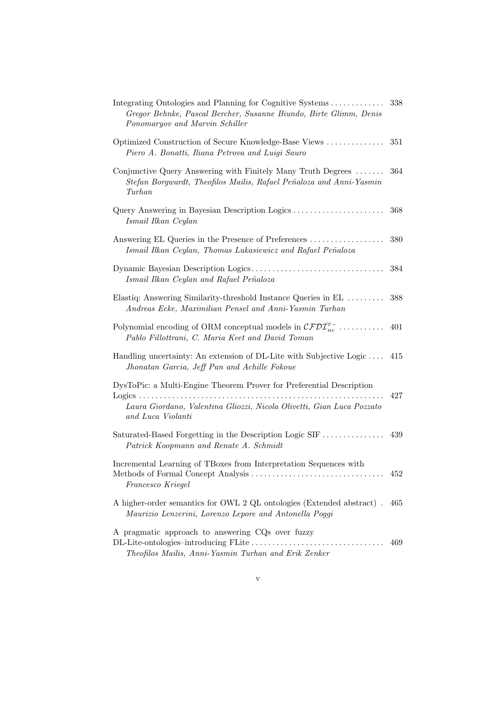| Integrating Ontologies and Planning for Cognitive Systems<br>Gregor Behnke, Pascal Bercher, Susanne Biundo, Birte Glimm, Denis<br>Ponomaryov and Marvin Schiller | 338 |
|------------------------------------------------------------------------------------------------------------------------------------------------------------------|-----|
| Optimized Construction of Secure Knowledge-Base Views<br>Piero A. Bonatti, Iliana Petrova and Luigi Sauro                                                        | 351 |
| Conjunctive Query Answering with Finitely Many Truth Degrees<br>Stefan Borgwardt, Theofilos Mailis, Rafael Peñaloza and Anni-Yasmin<br>Turhan                    | 364 |
| Query Answering in Bayesian Description Logics<br>Ismail Ilkan Ceylan                                                                                            | 368 |
| Answering EL Queries in the Presence of Preferences<br>Ismail Ilkan Ceylan, Thomas Lukasiewicz and Rafael Peñaloza                                               | 380 |
| Ismail Ilkan Ceylan and Rafael Peñaloza                                                                                                                          | 384 |
| Elastiq: Answering Similarity-threshold Instance Queries in EL<br>Andreas Ecke, Maximilian Pensel and Anni-Yasmin Turhan                                         | 388 |
| Polynomial encoding of ORM conceptual models in $\mathcal{CFDI}_{nc}^{\forall -}$<br>Pablo Fillottrani, C. Maria Keet and David Toman                            | 401 |
| Handling uncertainty: An extension of DL-Lite with Subjective Logic<br>Jhonatan Garcia, Jeff Pan and Achille Fokoue                                              | 415 |
| DysToPic: a Multi-Engine Theorem Prover for Preferential Description                                                                                             |     |
| Laura Giordano, Valentina Gliozzi, Nicola Olivetti, Gian Luca Pozzato<br>and Luca Violanti                                                                       | 427 |
| Saturated-Based Forgetting in the Description Logic SIF<br>Patrick Koopmann and Renate A. Schmidt                                                                | 439 |
| Incremental Learning of TBoxes from Interpretation Sequences with<br>Francesco Kriegel                                                                           | 452 |
| A higher-order semantics for OWL 2 QL ontologies (Extended abstract).<br>Maurizio Lenzerini, Lorenzo Lepore and Antonella Poggi                                  | 465 |
| A pragmatic approach to answering CQs over fuzzy<br>Theofilos Mailis, Anni-Yasmin Turhan and Erik Zenker                                                         | 469 |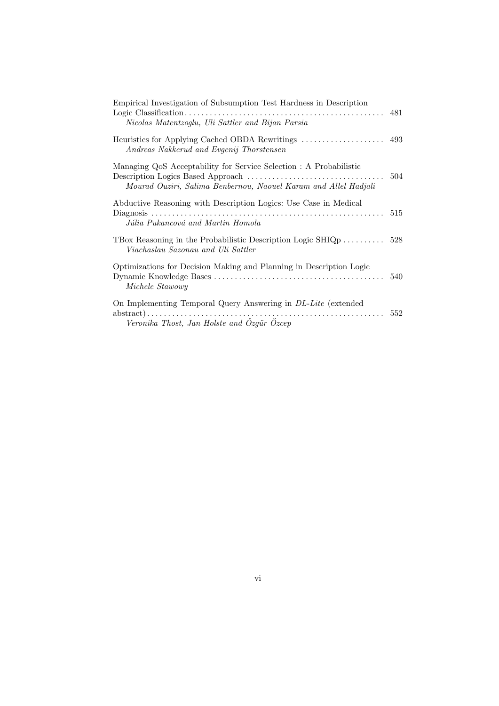| Empirical Investigation of Subsumption Test Hardness in Description<br>Nicolas Matentzoglu, Uli Sattler and Bijan Parsia              | 481 |
|---------------------------------------------------------------------------------------------------------------------------------------|-----|
| Heuristics for Applying Cached OBDA Rewritings<br>Andreas Nakkerud and Evgenij Thorstensen                                            | 493 |
| Managing QoS Acceptability for Service Selection : A Probabilistic<br>Mourad Ouziri, Salima Benbernou, Naouel Karam and Allel Hadjali | 504 |
| Abductive Reasoning with Description Logics: Use Case in Medical<br>Júlia Pukancová and Martin Homola                                 | 515 |
| TBox Reasoning in the Probabilistic Description Logic SHIQ $p$<br>Viachaslau Sazonau and Uli Sattler                                  | 528 |
| Optimizations for Decision Making and Planning in Description Logic<br>Michele Stawowy                                                | 540 |
| On Implementing Temporal Query Answering in <i>DL-Lite</i> (extended<br>Veronika Thost, Jan Holste and Ozgür Ozcep                    | 552 |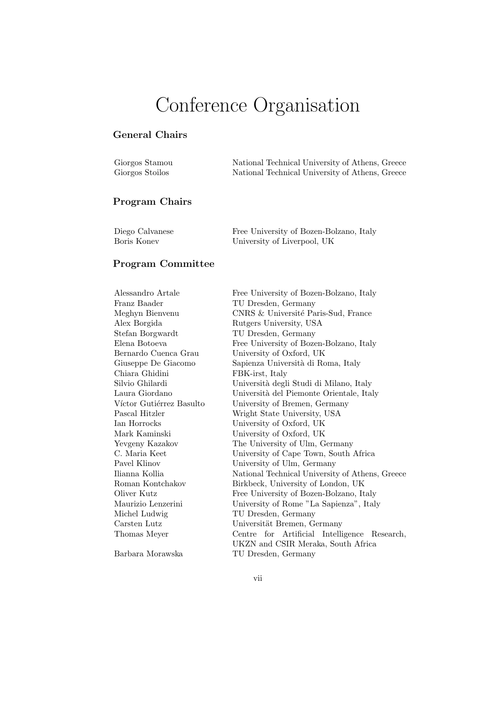# Conference Organisation

## General Chairs

| Giorgos Stamou  | National Technical University of Athens, Greece |
|-----------------|-------------------------------------------------|
| Giorgos Stoilos | National Technical University of Athens, Greece |

#### Program Chairs

| Diego Calvanese | Free University of Bozen-Bolzano, Italy |
|-----------------|-----------------------------------------|
| Boris Koney     | University of Liverpool, UK             |

#### Program Committee

Franz Baader TU Dresden, Germany Stefan Borgwardt TU Dresden, Germany Chiara Ghidini FBK-irst, Italy Michel Ludwig TU Dresden, Germany

Alessandro Artale Free University of Bozen-Bolzano, Italy Meghyn Bienvenu CNRS & Université Paris-Sud, France Alex Borgida Rutgers University, USA Elena Botoeva Free University of Bozen-Bolzano, Italy Bernardo Cuenca Grau University of Oxford, UK Sapienza Università di Roma, Italy Silvio Ghilardi Università degli Studi di Milano, Italy Laura Giordano Università del Piemonte Orientale, Italy Víctor Gutiérrez Basulto University of Bremen, Germany Pascal Hitzler Wright State University, USA Ian Horrocks University of Oxford, UK Mark Kaminski University of Oxford, UK Yevgeny Kazakov The University of Ulm, Germany C. Maria Keet University of Cape Town, South Africa Pavel Klinov University of Ulm, Germany Ilianna Kollia National Technical University of Athens, Greece Roman Kontchakov Birkbeck, University of London, UK Oliver Kutz Free University of Bozen-Bolzano, Italy Maurizio Lenzerini University of Rome "La Sapienza", Italy Carsten Lutz Universität Bremen, Germany Thomas Meyer Centre for Artificial Intelligence Research, UKZN and CSIR Meraka, South Africa Barbara Morawska TU Dresden, Germany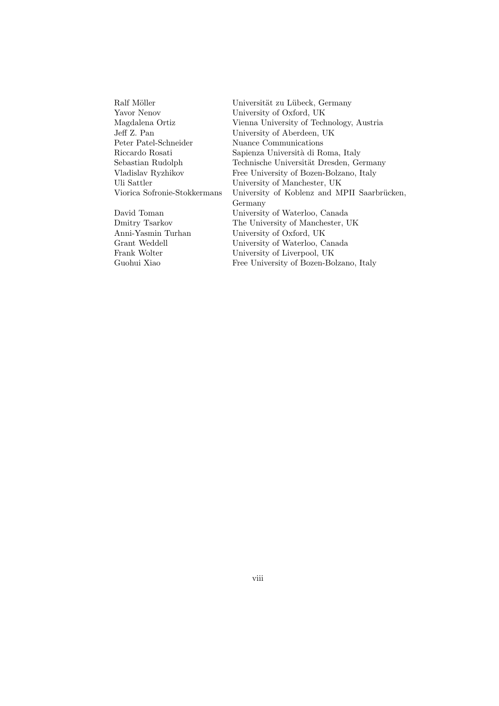| Universität zu Lübeck, Germany              |
|---------------------------------------------|
| University of Oxford, UK                    |
| Vienna University of Technology, Austria    |
| University of Aberdeen, UK                  |
| Nuance Communications                       |
| Sapienza Università di Roma, Italy          |
| Technische Universität Dresden, Germany     |
| Free University of Bozen-Bolzano, Italy     |
| University of Manchester, UK                |
| University of Koblenz and MPII Saarbrücken, |
| Germany                                     |
| University of Waterloo, Canada              |
| The University of Manchester, UK            |
| University of Oxford, UK                    |
| University of Waterloo, Canada              |
| University of Liverpool, UK                 |
| Free University of Bozen-Bolzano, Italy     |
|                                             |